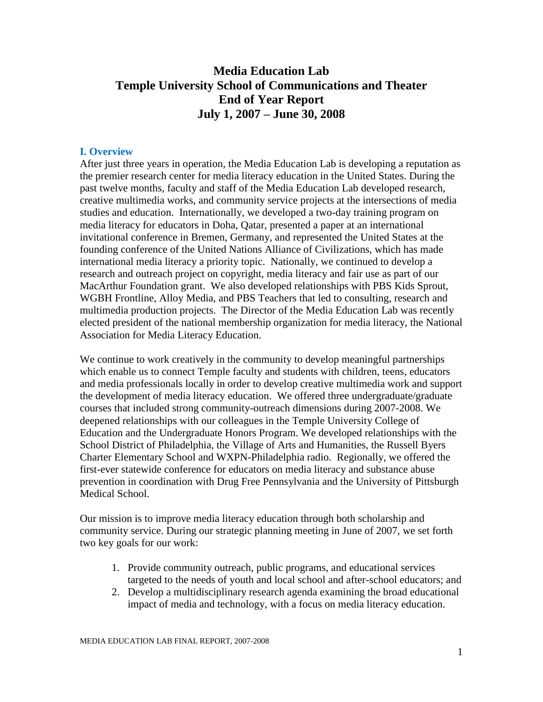# **Media Education Lab Temple University School of Communications and Theater End of Year Report July 1, 2007 – June 30, 2008**

#### **I. Overview**

After just three years in operation, the Media Education Lab is developing a reputation as the premier research center for media literacy education in the United States. During the past twelve months, faculty and staff of the Media Education Lab developed research, creative multimedia works, and community service projects at the intersections of media studies and education. Internationally, we developed a two-day training program on media literacy for educators in Doha, Qatar, presented a paper at an international invitational conference in Bremen, Germany, and represented the United States at the founding conference of the United Nations Alliance of Civilizations, which has made international media literacy a priority topic. Nationally, we continued to develop a research and outreach project on copyright, media literacy and fair use as part of our MacArthur Foundation grant. We also developed relationships with PBS Kids Sprout, WGBH Frontline, Alloy Media, and PBS Teachers that led to consulting, research and multimedia production projects. The Director of the Media Education Lab was recently elected president of the national membership organization for media literacy, the National Association for Media Literacy Education.

We continue to work creatively in the community to develop meaningful partnerships which enable us to connect Temple faculty and students with children, teens, educators and media professionals locally in order to develop creative multimedia work and support the development of media literacy education. We offered three undergraduate/graduate courses that included strong community-outreach dimensions during 2007-2008. We deepened relationships with our colleagues in the Temple University College of Education and the Undergraduate Honors Program. We developed relationships with the School District of Philadelphia, the Village of Arts and Humanities, the Russell Byers Charter Elementary School and WXPN-Philadelphia radio. Regionally, we offered the first-ever statewide conference for educators on media literacy and substance abuse prevention in coordination with Drug Free Pennsylvania and the University of Pittsburgh Medical School.

Our mission is to improve media literacy education through both scholarship and community service. During our strategic planning meeting in June of 2007, we set forth two key goals for our work:

- 1. Provide community outreach, public programs, and educational services targeted to the needs of youth and local school and after-school educators; and
- 2. Develop a multidisciplinary research agenda examining the broad educational impact of media and technology, with a focus on media literacy education.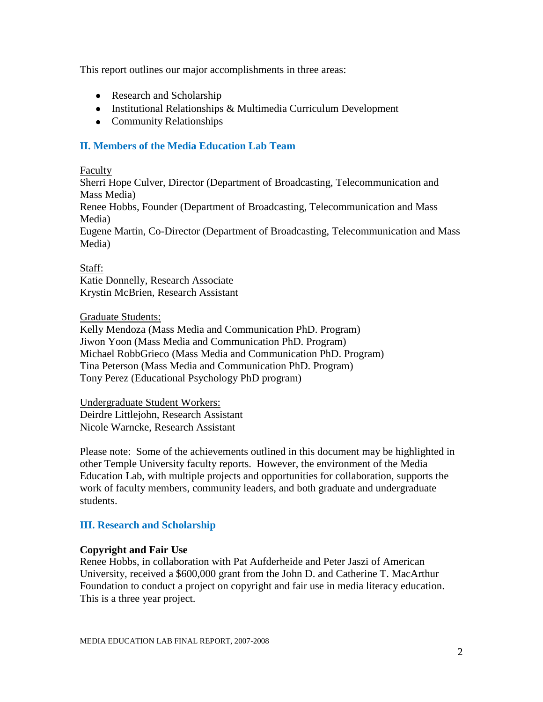This report outlines our major accomplishments in three areas:

- Research and Scholarship
- Institutional Relationships & Multimedia Curriculum Development
- Community Relationships

## **II. Members of the Media Education Lab Team**

#### Faculty

Sherri Hope Culver, Director (Department of Broadcasting, Telecommunication and Mass Media)

Renee Hobbs, Founder (Department of Broadcasting, Telecommunication and Mass Media)

Eugene Martin, Co-Director (Department of Broadcasting, Telecommunication and Mass Media)

Staff: Katie Donnelly, Research Associate Krystin McBrien, Research Assistant

#### Graduate Students:

Kelly Mendoza (Mass Media and Communication PhD. Program) Jiwon Yoon (Mass Media and Communication PhD. Program) Michael RobbGrieco (Mass Media and Communication PhD. Program) Tina Peterson (Mass Media and Communication PhD. Program) Tony Perez (Educational Psychology PhD program)

Undergraduate Student Workers: Deirdre Littlejohn, Research Assistant Nicole Warncke, Research Assistant

Please note: Some of the achievements outlined in this document may be highlighted in other Temple University faculty reports. However, the environment of the Media Education Lab, with multiple projects and opportunities for collaboration, supports the work of faculty members, community leaders, and both graduate and undergraduate students.

### **III. Research and Scholarship**

### **Copyright and Fair Use**

Renee Hobbs, in collaboration with Pat Aufderheide and Peter Jaszi of American University, received a \$600,000 grant from the John D. and Catherine T. MacArthur Foundation to conduct a project on copyright and fair use in media literacy education. This is a three year project.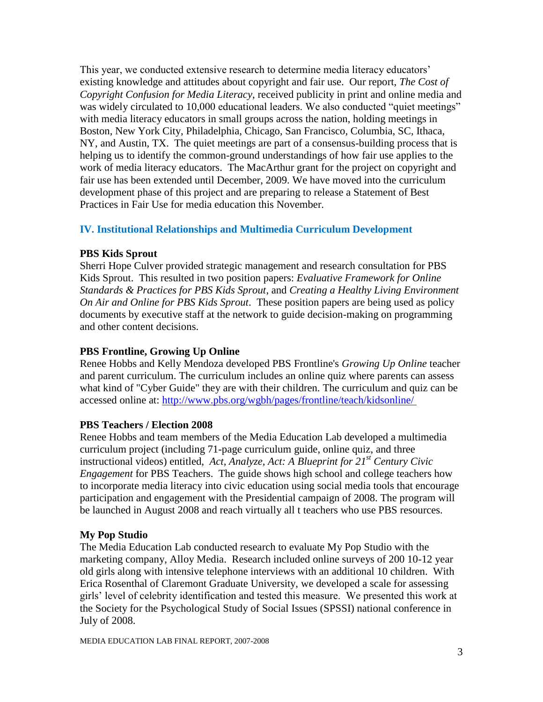This year, we conducted extensive research to determine media literacy educators" existing knowledge and attitudes about copyright and fair use. Our report, *The Cost of Copyright Confusion for Media Literacy*, received publicity in print and online media and was widely circulated to 10,000 educational leaders. We also conducted "quiet meetings" with media literacy educators in small groups across the nation, holding meetings in Boston, New York City, Philadelphia, Chicago, San Francisco, Columbia, SC, Ithaca, NY, and Austin, TX. The quiet meetings are part of a consensus-building process that is helping us to identify the common-ground understandings of how fair use applies to the work of media literacy educators. The MacArthur grant for the project on copyright and fair use has been extended until December, 2009. We have moved into the curriculum development phase of this project and are preparing to release a Statement of Best Practices in Fair Use for media education this November.

## **IV. Institutional Relationships and Multimedia Curriculum Development**

## **PBS Kids Sprout**

Sherri Hope Culver provided strategic management and research consultation for PBS Kids Sprout. This resulted in two position papers: *Evaluative Framework for Online Standards & Practices for PBS Kids Sprout*, and *Creating a Healthy Living Environment On Air and Online for PBS Kids Sprout*. These position papers are being used as policy documents by executive staff at the network to guide decision-making on programming and other content decisions.

## **PBS Frontline, Growing Up Online**

Renee Hobbs and Kelly Mendoza developed PBS Frontline's *Growing Up Online* teacher and parent curriculum. The curriculum includes an online quiz where parents can assess what kind of "Cyber Guide" they are with their children. The curriculum and quiz can be accessed online at:<http://www.pbs.org/wgbh/pages/frontline/teach/kidsonline/>

### **PBS Teachers / Election 2008**

Renee Hobbs and team members of the Media Education Lab developed a multimedia curriculum project (including 71-page curriculum guide, online quiz, and three instructional videos) entitled, *Act, Analyze, Act: A Blueprint for 21st Century Civic Engagement* for PBS Teachers. The guide shows high school and college teachers how to incorporate media literacy into civic education using social media tools that encourage participation and engagement with the Presidential campaign of 2008. The program will be launched in August 2008 and reach virtually all t teachers who use PBS resources.

## **My Pop Studio**

The Media Education Lab conducted research to evaluate My Pop Studio with the marketing company, Alloy Media. Research included online surveys of 200 10-12 year old girls along with intensive telephone interviews with an additional 10 children. With Erica Rosenthal of Claremont Graduate University, we developed a scale for assessing girls" level of celebrity identification and tested this measure. We presented this work at the Society for the Psychological Study of Social Issues (SPSSI) national conference in July of 2008.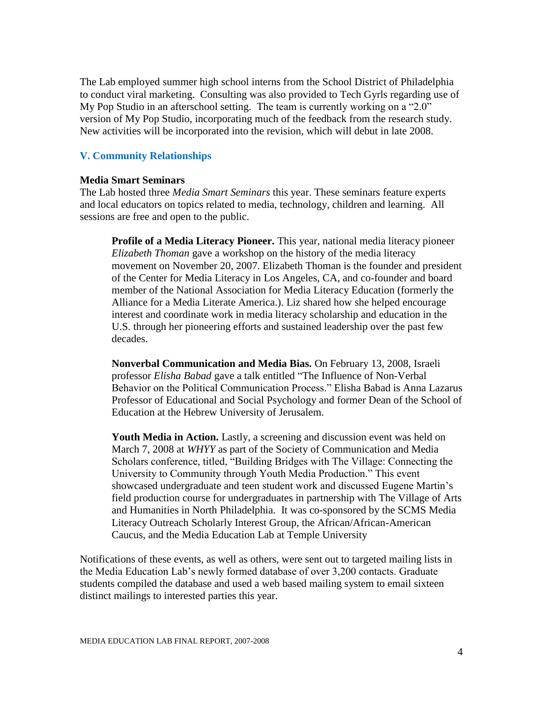The Lab employed summer high school interns from the School District of Philadelphia to conduct viral marketing. Consulting was also provided to Tech Gyrls regarding use of My Pop Studio in an afterschool setting. The team is currently working on a "2.0" version of My Pop Studio, incorporating much of the feedback from the research study. New activities will be incorporated into the revision, which will debut in late 2008.

#### **V. Community Relationships**

#### **Media Smart Seminars**

The Lab hosted three *Media Smart Seminars* this year. These seminars feature experts and local educators on topics related to media, technology, children and learning. All sessions are free and open to the public.

**Profile of a Media Literacy Pioneer.** This year, national media literacy pioneer *Elizabeth Thoman* gave a workshop on the history of the media literacy movement on November 20, 2007. Elizabeth Thoman is the founder and president of the Center for Media Literacy in Los Angeles, CA, and co-founder and board member of the National Association for Media Literacy Education (formerly the Alliance for a Media Literate America.). Liz shared how she helped encourage interest and coordinate work in media literacy scholarship and education in the U.S. through her pioneering efforts and sustained leadership over the past few decades.

**Nonverbal Communication and Media Bias.** On February 13, 2008, Israeli professor *Elisha Babad* gave a talk entitled "The Influence of Non-Verbal Behavior on the Political Communication Process." Elisha Babad is Anna Lazarus Professor of Educational and Social Psychology and former Dean of the School of Education at the Hebrew University of Jerusalem.

**Youth Media in Action.** Lastly, a screening and discussion event was held on March 7, 2008 at *WHYY* as part of the Society of Communication and Media Scholars conference, titled, "Building Bridges with The Village: Connecting the University to Community through Youth Media Production." This event showcased undergraduate and teen student work and discussed Eugene Martin"s field production course for undergraduates in partnership with The Village of Arts and Humanities in North Philadelphia. It was co-sponsored by the SCMS Media Literacy Outreach Scholarly Interest Group, the African/African-American Caucus, and the Media Education Lab at Temple University

Notifications of these events, as well as others, were sent out to targeted mailing lists in the Media Education Lab"s newly formed database of over 3,200 contacts. Graduate students compiled the database and used a web based mailing system to email sixteen distinct mailings to interested parties this year.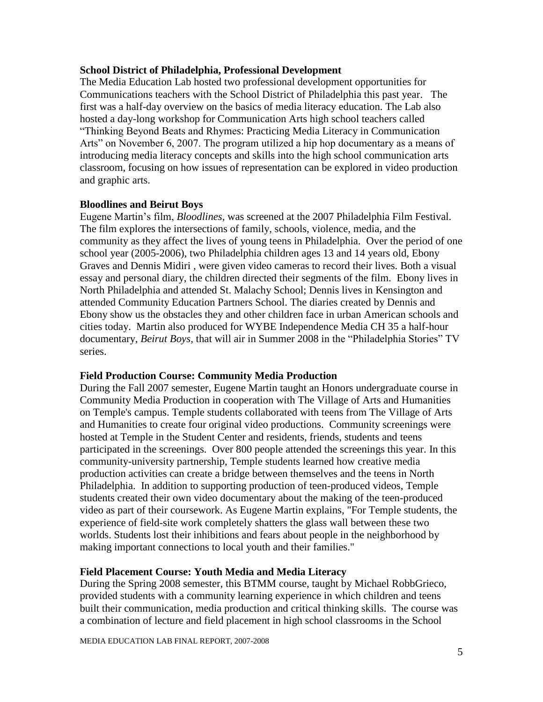#### **School District of Philadelphia, Professional Development**

The Media Education Lab hosted two professional development opportunities for Communications teachers with the School District of Philadelphia this past year. The first was a half-day overview on the basics of media literacy education. The Lab also hosted a day-long workshop for Communication Arts high school teachers called "Thinking Beyond Beats and Rhymes: Practicing Media Literacy in Communication Arts" on November 6, 2007. The program utilized a hip hop documentary as a means of introducing media literacy concepts and skills into the high school communication arts classroom, focusing on how issues of representation can be explored in video production and graphic arts.

#### **Bloodlines and Beirut Boys**

Eugene Martin"s film, *Bloodlines,* was screened at the 2007 Philadelphia Film Festival. The film explores the intersections of family, schools, violence, media, and the community as they affect the lives of young teens in Philadelphia. Over the period of one school year (2005-2006), two Philadelphia children ages 13 and 14 years old, Ebony Graves and Dennis Midiri , were given video cameras to record their lives. Both a visual essay and personal diary, the children directed their segments of the film. Ebony lives in North Philadelphia and attended St. Malachy School; Dennis lives in Kensington and attended Community Education Partners School. The diaries created by Dennis and Ebony show us the obstacles they and other children face in urban American schools and cities today. Martin also produced for WYBE Independence Media CH 35 a half-hour documentary, *Beirut Boys*, that will air in Summer 2008 in the "Philadelphia Stories" TV series.

### **Field Production Course: Community Media Production**

During the Fall 2007 semester, Eugene Martin taught an Honors undergraduate course in Community Media Production in cooperation with The Village of Arts and Humanities on Temple's campus. Temple students collaborated with teens from The Village of Arts and Humanities to create four original video productions. Community screenings were hosted at Temple in the Student Center and residents, friends, students and teens participated in the screenings. Over 800 people attended the screenings this year. In this community-university partnership, Temple students learned how creative media production activities can create a bridge between themselves and the teens in North Philadelphia. In addition to supporting production of teen-produced videos, Temple students created their own video documentary about the making of the teen-produced video as part of their coursework. As Eugene Martin explains, "For Temple students, the experience of field-site work completely shatters the glass wall between these two worlds. Students lost their inhibitions and fears about people in the neighborhood by making important connections to local youth and their families."

### **Field Placement Course: Youth Media and Media Literacy**

During the Spring 2008 semester, this BTMM course, taught by Michael RobbGrieco, provided students with a community learning experience in which children and teens built their communication, media production and critical thinking skills. The course was a combination of lecture and field placement in high school classrooms in the School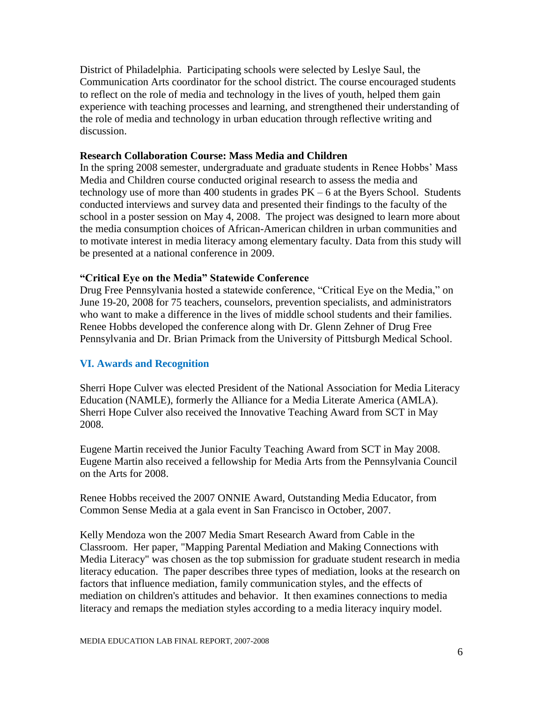District of Philadelphia. Participating schools were selected by Leslye Saul, the Communication Arts coordinator for the school district. The course encouraged students to reflect on the role of media and technology in the lives of youth, helped them gain experience with teaching processes and learning, and strengthened their understanding of the role of media and technology in urban education through reflective writing and discussion.

#### **Research Collaboration Course: Mass Media and Children**

In the spring 2008 semester, undergraduate and graduate students in Renee Hobbs" Mass Media and Children course conducted original research to assess the media and technology use of more than 400 students in grades  $PK - 6$  at the Byers School. Students conducted interviews and survey data and presented their findings to the faculty of the school in a poster session on May 4, 2008. The project was designed to learn more about the media consumption choices of African-American children in urban communities and to motivate interest in media literacy among elementary faculty. Data from this study will be presented at a national conference in 2009.

#### **"Critical Eye on the Media" Statewide Conference**

Drug Free Pennsylvania hosted a statewide conference, "Critical Eye on the Media," on June 19-20, 2008 for 75 teachers, counselors, prevention specialists, and administrators who want to make a difference in the lives of middle school students and their families. Renee Hobbs developed the conference along with Dr. Glenn Zehner of Drug Free Pennsylvania and Dr. Brian Primack from the University of Pittsburgh Medical School.

### **VI. Awards and Recognition**

Sherri Hope Culver was elected President of the National Association for Media Literacy Education (NAMLE), formerly the Alliance for a Media Literate America (AMLA). Sherri Hope Culver also received the Innovative Teaching Award from SCT in May 2008.

Eugene Martin received the Junior Faculty Teaching Award from SCT in May 2008. Eugene Martin also received a fellowship for Media Arts from the Pennsylvania Council on the Arts for 2008.

Renee Hobbs received the 2007 ONNIE Award, Outstanding Media Educator, from Common Sense Media at a gala event in San Francisco in October, 2007.

Kelly Mendoza won the 2007 Media Smart Research Award from Cable in the Classroom. Her paper, "Mapping Parental Mediation and Making Connections with Media Literacy" was chosen as the top submission for graduate student research in media literacy education. The paper describes three types of mediation, looks at the research on factors that influence mediation, family communication styles, and the effects of mediation on children's attitudes and behavior. It then examines connections to media literacy and remaps the mediation styles according to a media literacy inquiry model.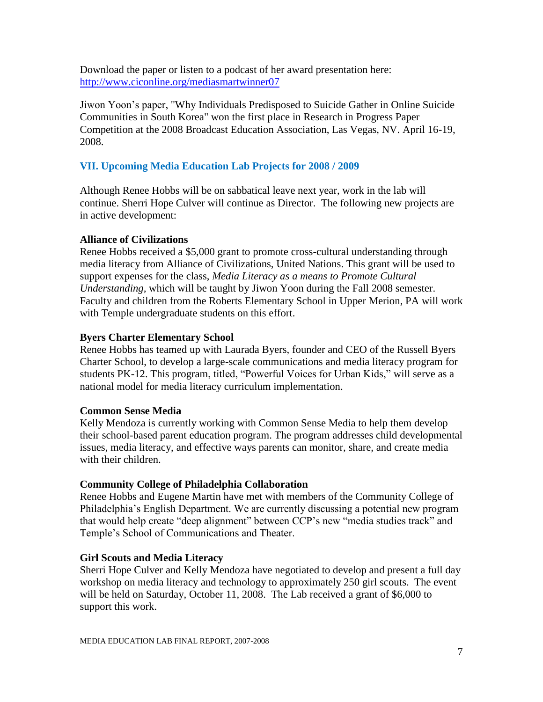Download the paper or listen to a podcast of her award presentation here: <http://www.ciconline.org/mediasmartwinner07>

Jiwon Yoon"s paper, "Why Individuals Predisposed to Suicide Gather in Online Suicide Communities in South Korea" won the first place in Research in Progress Paper Competition at the 2008 Broadcast Education Association, Las Vegas, NV. April 16-19, 2008.

## **VII. Upcoming Media Education Lab Projects for 2008 / 2009**

Although Renee Hobbs will be on sabbatical leave next year, work in the lab will continue. Sherri Hope Culver will continue as Director. The following new projects are in active development:

### **Alliance of Civilizations**

Renee Hobbs received a \$5,000 grant to promote cross-cultural understanding through media literacy from Alliance of Civilizations, United Nations. This grant will be used to support expenses for the class, *Media Literacy as a means to Promote Cultural Understanding,* which will be taught by Jiwon Yoon during the Fall 2008 semester. Faculty and children from the Roberts Elementary School in Upper Merion, PA will work with Temple undergraduate students on this effort.

### **Byers Charter Elementary School**

Renee Hobbs has teamed up with Laurada Byers, founder and CEO of the Russell Byers Charter School, to develop a large-scale communications and media literacy program for students PK-12. This program, titled, "Powerful Voices for Urban Kids," will serve as a national model for media literacy curriculum implementation.

### **Common Sense Media**

Kelly Mendoza is currently working with Common Sense Media to help them develop their school-based parent education program. The program addresses child developmental issues, media literacy, and effective ways parents can monitor, share, and create media with their children.

## **Community College of Philadelphia Collaboration**

Renee Hobbs and Eugene Martin have met with members of the Community College of Philadelphia"s English Department. We are currently discussing a potential new program that would help create "deep alignment" between CCP"s new "media studies track" and Temple"s School of Communications and Theater.

## **Girl Scouts and Media Literacy**

Sherri Hope Culver and Kelly Mendoza have negotiated to develop and present a full day workshop on media literacy and technology to approximately 250 girl scouts. The event will be held on Saturday, October 11, 2008. The Lab received a grant of \$6,000 to support this work.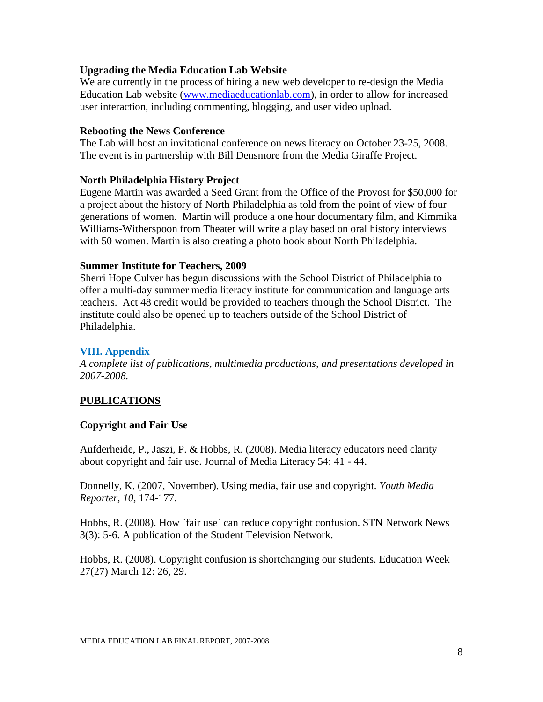### **Upgrading the Media Education Lab Website**

We are currently in the process of hiring a new web developer to re-design the Media Education Lab website [\(www.mediaeducationlab.com\)](http://www.mediaeducationlab.com/), in order to allow for increased user interaction, including commenting, blogging, and user video upload.

#### **Rebooting the News Conference**

The Lab will host an invitational conference on news literacy on October 23-25, 2008. The event is in partnership with Bill Densmore from the Media Giraffe Project.

### **North Philadelphia History Project**

Eugene Martin was awarded a Seed Grant from the Office of the Provost for \$50,000 for a project about the history of North Philadelphia as told from the point of view of four generations of women. Martin will produce a one hour documentary film, and Kimmika Williams-Witherspoon from Theater will write a play based on oral history interviews with 50 women. Martin is also creating a photo book about North Philadelphia.

#### **Summer Institute for Teachers, 2009**

Sherri Hope Culver has begun discussions with the School District of Philadelphia to offer a multi-day summer media literacy institute for communication and language arts teachers. Act 48 credit would be provided to teachers through the School District. The institute could also be opened up to teachers outside of the School District of Philadelphia.

#### **VIII. Appendix**

*A complete list of publications, multimedia productions, and presentations developed in 2007-2008.*

### **PUBLICATIONS**

### **Copyright and Fair Use**

Aufderheide, P., Jaszi, P. & Hobbs, R. (2008). Media literacy educators need clarity about copyright and fair use. Journal of Media Literacy 54: 41 - 44.

Donnelly, K. (2007, November). Using media, fair use and copyright. *Youth Media Reporter, 10,* 174-177.

Hobbs, R. (2008). How `fair use` can reduce copyright confusion. STN Network News 3(3): 5-6. A publication of the Student Television Network.

Hobbs, R. (2008). Copyright confusion is shortchanging our students. Education Week 27(27) March 12: 26, 29.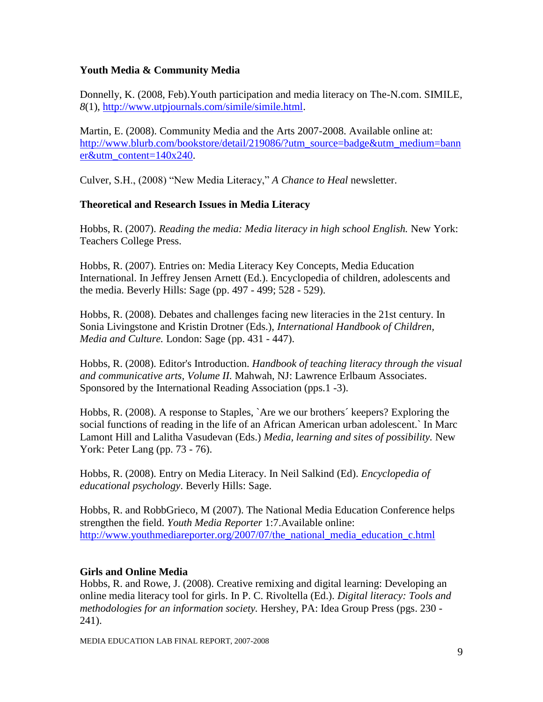## **Youth Media & Community Media**

Donnelly, K. (2008, Feb).Youth participation and media literacy on The-N.com. SIMILE*, 8*(1), [http://www.utpjournals.com/simile/simile.html.](http://www.utpjournals.com/simile/simile.html)

Martin, E. (2008). Community Media and the Arts 2007-2008. Available online at: [http://www.blurb.com/bookstore/detail/219086/?utm\\_source=badge&utm\\_medium=bann](http://www.blurb.com/bookstore/detail/219086/?utm_source=badge&utm_medium=banner&utm_content=140x240) [er&utm\\_content=140x240.](http://www.blurb.com/bookstore/detail/219086/?utm_source=badge&utm_medium=banner&utm_content=140x240)

Culver, S.H., (2008) "New Media Literacy," *A Chance to Heal* newsletter.

## **Theoretical and Research Issues in Media Literacy**

Hobbs, R. (2007). *Reading the media: Media literacy in high school English.* New York: Teachers College Press.

Hobbs, R. (2007). Entries on: Media Literacy Key Concepts, Media Education International. In Jeffrey Jensen Arnett (Ed.). Encyclopedia of children, adolescents and the media. Beverly Hills: Sage (pp. 497 - 499; 528 - 529).

Hobbs, R. (2008). Debates and challenges facing new literacies in the 21st century. In Sonia Livingstone and Kristin Drotner (Eds.), *International Handbook of Children, Media and Culture.* London: Sage (pp. 431 - 447).

Hobbs, R. (2008). Editor's Introduction. *Handbook of teaching literacy through the visual and communicative arts, Volume II.* Mahwah, NJ: Lawrence Erlbaum Associates. Sponsored by the International Reading Association (pps.1 -3).

Hobbs, R. (2008). A response to Staples, `Are we our brothers´ keepers? Exploring the social functions of reading in the life of an African American urban adolescent.` In Marc Lamont Hill and Lalitha Vasudevan (Eds.) *Media, learning and sites of possibility.* New York: Peter Lang (pp. 73 - 76).

Hobbs, R. (2008). Entry on Media Literacy. In Neil Salkind (Ed). *Encyclopedia of educational psychology*. Beverly Hills: Sage.

Hobbs, R. and RobbGrieco, M (2007). The National Media Education Conference helps strengthen the field. *Youth Media Reporter* 1:7.Available online: [http://www.youthmediareporter.org/2007/07/the\\_national\\_media\\_education\\_c.html](http://www.youthmediareporter.org/2007/07/the_national_media_education_c.html)

### **Girls and Online Media**

Hobbs, R. and Rowe, J. (2008). Creative remixing and digital learning: Developing an online media literacy tool for girls. In P. C. Rivoltella (Ed.). *Digital literacy: Tools and methodologies for an information society.* Hershey, PA: Idea Group Press (pgs. 230 - 241).

MEDIA EDUCATION LAB FINAL REPORT, 2007-2008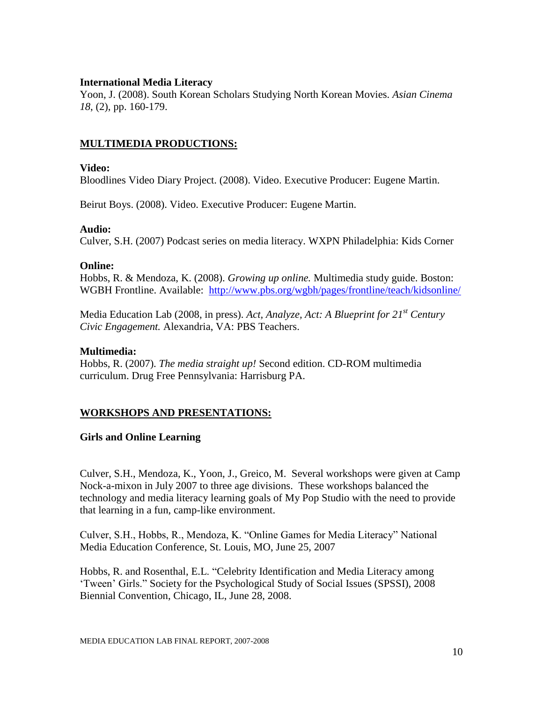### **International Media Literacy**

Yoon, J. (2008). South Korean Scholars Studying North Korean Movies. *Asian Cinema 18*, (2), pp. 160-179.

### **MULTIMEDIA PRODUCTIONS:**

#### **Video:**

Bloodlines Video Diary Project. (2008). Video. Executive Producer: Eugene Martin.

Beirut Boys. (2008). Video. Executive Producer: Eugene Martin.

#### **Audio:**

Culver, S.H. (2007) Podcast series on media literacy. WXPN Philadelphia: Kids Corner

#### **Online:**

Hobbs, R. & Mendoza, K. (2008). *Growing up online.* Multimedia study guide. Boston: WGBH Frontline. Available: <http://www.pbs.org/wgbh/pages/frontline/teach/kidsonline/>

Media Education Lab (2008, in press). *Act, Analyze, Act: A Blueprint for 21st Century Civic Engagement.* Alexandria, VA: PBS Teachers.

#### **Multimedia:**

Hobbs, R. (2007). *The media straight up!* Second edition. CD-ROM multimedia curriculum. Drug Free Pennsylvania: Harrisburg PA.

## **WORKSHOPS AND PRESENTATIONS:**

### **Girls and Online Learning**

Culver, S.H., Mendoza, K., Yoon, J., Greico, M. Several workshops were given at Camp Nock-a-mixon in July 2007 to three age divisions. These workshops balanced the technology and media literacy learning goals of My Pop Studio with the need to provide that learning in a fun, camp-like environment.

Culver, S.H., Hobbs, R., Mendoza, K. "Online Games for Media Literacy" National Media Education Conference, St. Louis, MO, June 25, 2007

Hobbs, R. and Rosenthal, E.L. "Celebrity Identification and Media Literacy among "Tween" Girls." Society for the Psychological Study of Social Issues (SPSSI), 2008 Biennial Convention, Chicago, IL, June 28, 2008.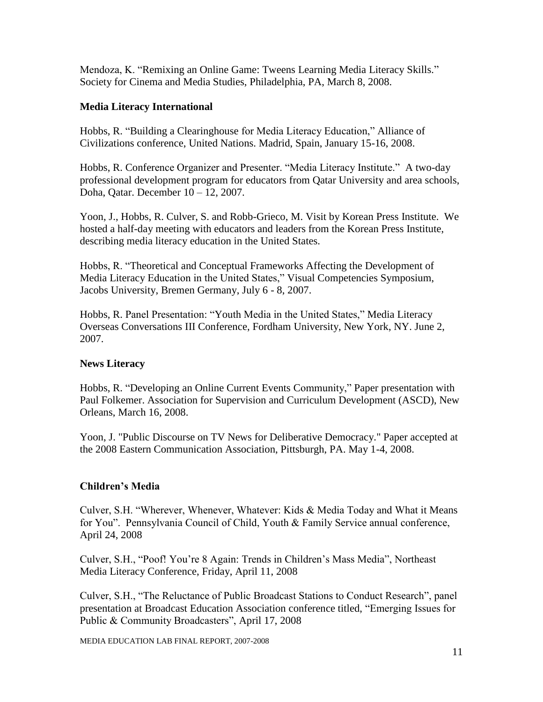Mendoza, K. "Remixing an Online Game: Tweens Learning Media Literacy Skills." Society for Cinema and Media Studies, Philadelphia, PA, March 8, 2008.

## **Media Literacy International**

Hobbs, R. "Building a Clearinghouse for Media Literacy Education," Alliance of Civilizations conference, United Nations. Madrid, Spain, January 15-16, 2008.

Hobbs, R. Conference Organizer and Presenter. "Media Literacy Institute." A two-day professional development program for educators from Qatar University and area schools, Doha, Qatar. December 10 – 12, 2007.

Yoon, J., Hobbs, R. Culver, S. and Robb-Grieco, M. Visit by Korean Press Institute. We hosted a half-day meeting with educators and leaders from the Korean Press Institute, describing media literacy education in the United States.

Hobbs, R. "Theoretical and Conceptual Frameworks Affecting the Development of Media Literacy Education in the United States," Visual Competencies Symposium, Jacobs University, Bremen Germany, July 6 - 8, 2007.

Hobbs, R. Panel Presentation: "Youth Media in the United States," Media Literacy Overseas Conversations III Conference, Fordham University, New York, NY. June 2, 2007.

## **News Literacy**

Hobbs, R. "Developing an Online Current Events Community," Paper presentation with Paul Folkemer. Association for Supervision and Curriculum Development (ASCD), New Orleans, March 16, 2008.

Yoon, J. "Public Discourse on TV News for Deliberative Democracy." Paper accepted at the 2008 Eastern Communication Association, Pittsburgh, PA. May 1-4, 2008.

## **Children's Media**

Culver, S.H. "Wherever, Whenever, Whatever: Kids & Media Today and What it Means for You". Pennsylvania Council of Child, Youth & Family Service annual conference, April 24, 2008

Culver, S.H., "Poof! You"re 8 Again: Trends in Children"s Mass Media", Northeast Media Literacy Conference, Friday, April 11, 2008

Culver, S.H., "The Reluctance of Public Broadcast Stations to Conduct Research", panel presentation at Broadcast Education Association conference titled, "Emerging Issues for Public & Community Broadcasters", April 17, 2008

MEDIA EDUCATION LAB FINAL REPORT, 2007-2008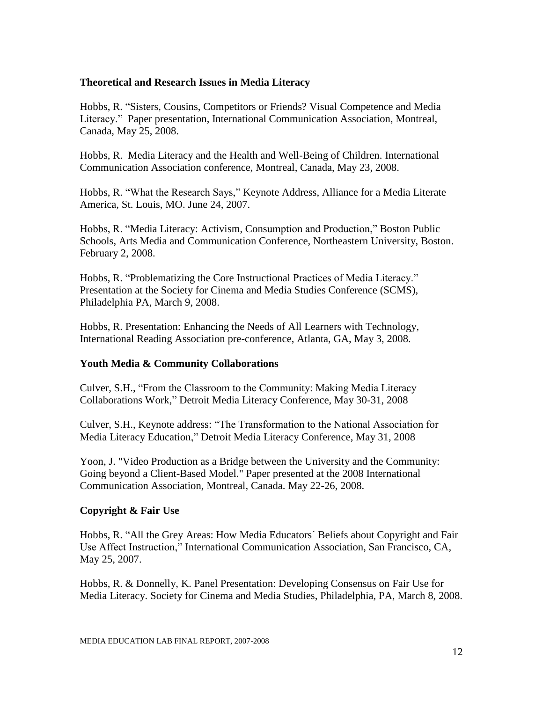### **Theoretical and Research Issues in Media Literacy**

Hobbs, R. "Sisters, Cousins, Competitors or Friends? Visual Competence and Media Literacy." Paper presentation, International Communication Association, Montreal, Canada, May 25, 2008.

Hobbs, R. Media Literacy and the Health and Well-Being of Children. International Communication Association conference, Montreal, Canada, May 23, 2008.

Hobbs, R. "What the Research Says," Keynote Address, Alliance for a Media Literate America, St. Louis, MO. June 24, 2007.

Hobbs, R. "Media Literacy: Activism, Consumption and Production," Boston Public Schools, Arts Media and Communication Conference, Northeastern University, Boston. February 2, 2008.

Hobbs, R. "Problematizing the Core Instructional Practices of Media Literacy." Presentation at the Society for Cinema and Media Studies Conference (SCMS), Philadelphia PA, March 9, 2008.

Hobbs, R. Presentation: Enhancing the Needs of All Learners with Technology, International Reading Association pre-conference, Atlanta, GA, May 3, 2008.

### **Youth Media & Community Collaborations**

Culver, S.H., "From the Classroom to the Community: Making Media Literacy Collaborations Work," Detroit Media Literacy Conference, May 30-31, 2008

Culver, S.H., Keynote address: "The Transformation to the National Association for Media Literacy Education," Detroit Media Literacy Conference, May 31, 2008

Yoon, J. "Video Production as a Bridge between the University and the Community: Going beyond a Client-Based Model." Paper presented at the 2008 International Communication Association, Montreal, Canada. May 22-26, 2008.

### **Copyright & Fair Use**

Hobbs, R. "All the Grey Areas: How Media Educators´ Beliefs about Copyright and Fair Use Affect Instruction," International Communication Association, San Francisco, CA, May 25, 2007.

Hobbs, R. & Donnelly, K. Panel Presentation: Developing Consensus on Fair Use for Media Literacy. Society for Cinema and Media Studies, Philadelphia, PA, March 8, 2008.